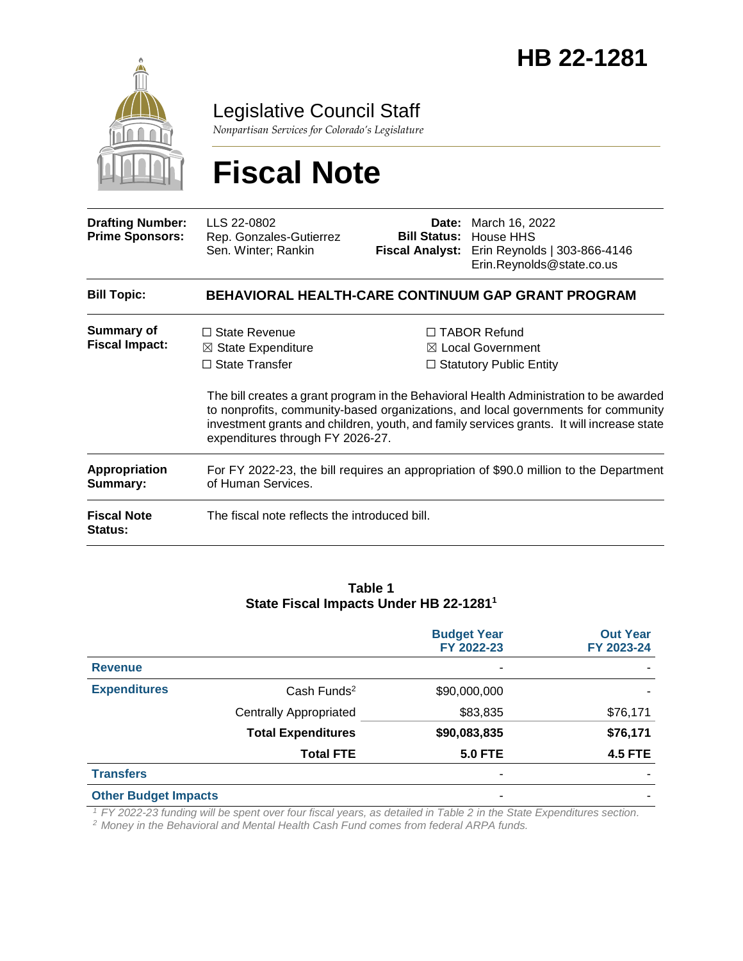

Legislative Council Staff

*Nonpartisan Services for Colorado's Legislature*

# **Fiscal Note**

| <b>Drafting Number:</b><br><b>Prime Sponsors:</b> | LLS 22-0802<br>Rep. Gonzales-Gutierrez<br>Sen. Winter; Rankin                                                      | Date:<br><b>Bill Status:</b><br><b>Fiscal Analyst:</b> | March 16, 2022<br>House HHS<br>Erin Reynolds   303-866-4146<br>Erin.Reynolds@state.co.us                                                                                                                                                                                                                                                                          |  |  |  |  |  |
|---------------------------------------------------|--------------------------------------------------------------------------------------------------------------------|--------------------------------------------------------|-------------------------------------------------------------------------------------------------------------------------------------------------------------------------------------------------------------------------------------------------------------------------------------------------------------------------------------------------------------------|--|--|--|--|--|
| <b>Bill Topic:</b>                                | BEHAVIORAL HEALTH-CARE CONTINUUM GAP GRANT PROGRAM                                                                 |                                                        |                                                                                                                                                                                                                                                                                                                                                                   |  |  |  |  |  |
| <b>Summary of</b><br><b>Fiscal Impact:</b>        | $\Box$ State Revenue<br>$\boxtimes$ State Expenditure<br>$\Box$ State Transfer<br>expenditures through FY 2026-27. |                                                        | $\Box$ TABOR Refund<br>$\boxtimes$ Local Government<br>$\Box$ Statutory Public Entity<br>The bill creates a grant program in the Behavioral Health Administration to be awarded<br>to nonprofits, community-based organizations, and local governments for community<br>investment grants and children, youth, and family services grants. It will increase state |  |  |  |  |  |
| <b>Appropriation</b><br>Summary:                  | For FY 2022-23, the bill requires an appropriation of \$90.0 million to the Department<br>of Human Services.       |                                                        |                                                                                                                                                                                                                                                                                                                                                                   |  |  |  |  |  |
| <b>Fiscal Note</b><br><b>Status:</b>              | The fiscal note reflects the introduced bill.                                                                      |                                                        |                                                                                                                                                                                                                                                                                                                                                                   |  |  |  |  |  |

#### **Table 1 State Fiscal Impacts Under HB 22-1281<sup>1</sup>**

|                             |                               | <b>Budget Year</b><br>FY 2022-23 | <b>Out Year</b><br>FY 2023-24 |
|-----------------------------|-------------------------------|----------------------------------|-------------------------------|
| <b>Revenue</b>              |                               | ٠                                |                               |
| <b>Expenditures</b>         | Cash Funds <sup>2</sup>       | \$90,000,000                     |                               |
|                             | <b>Centrally Appropriated</b> | \$83,835                         | \$76,171                      |
|                             | <b>Total Expenditures</b>     | \$90,083,835                     | \$76,171                      |
|                             | <b>Total FTE</b>              | <b>5.0 FTE</b>                   | <b>4.5 FTE</b>                |
| <b>Transfers</b>            |                               | ۰                                |                               |
| <b>Other Budget Impacts</b> |                               | ۰                                |                               |

*<sup>1</sup> FY 2022-23 funding will be spent over four fiscal years, as detailed in Table 2 in the State Expenditures section.*

*<sup>2</sup> Money in the Behavioral and Mental Health Cash Fund comes from federal ARPA funds.*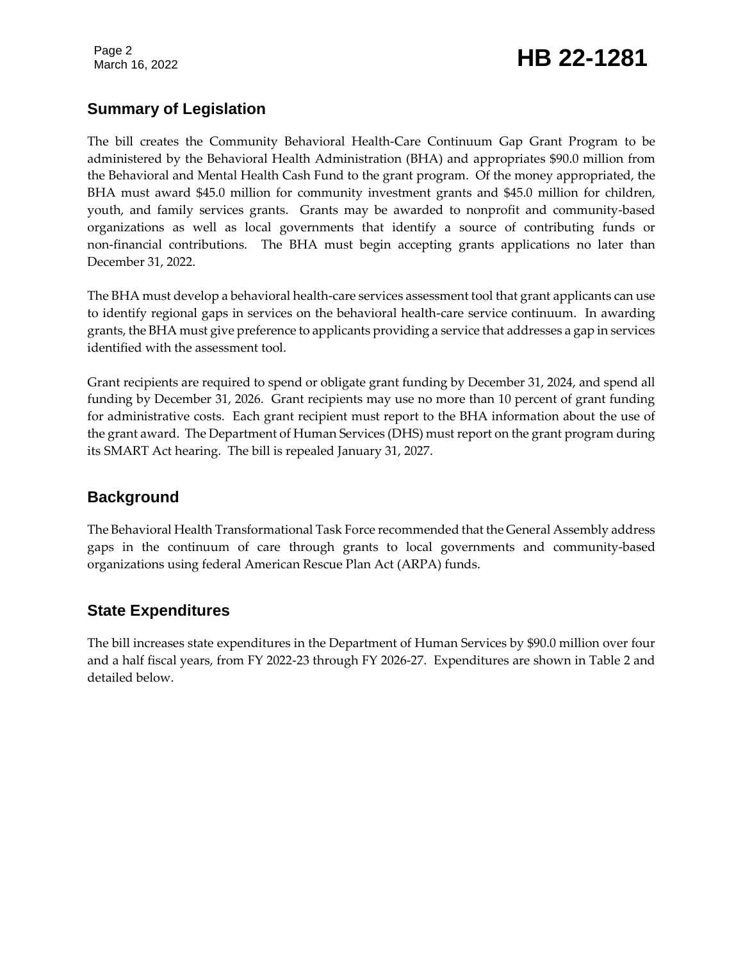Page 2

# Page 2<br>March 16, 2022 **HB 22-1281**

# **Summary of Legislation**

The bill creates the Community Behavioral Health-Care Continuum Gap Grant Program to be administered by the Behavioral Health Administration (BHA) and appropriates \$90.0 million from the Behavioral and Mental Health Cash Fund to the grant program. Of the money appropriated, the BHA must award \$45.0 million for community investment grants and \$45.0 million for children, youth, and family services grants. Grants may be awarded to nonprofit and community-based organizations as well as local governments that identify a source of contributing funds or non-financial contributions. The BHA must begin accepting grants applications no later than December 31, 2022.

The BHA must develop a behavioral health-care services assessment tool that grant applicants can use to identify regional gaps in services on the behavioral health-care service continuum. In awarding grants, the BHA must give preference to applicants providing a service that addresses a gap in services identified with the assessment tool.

Grant recipients are required to spend or obligate grant funding by December 31, 2024, and spend all funding by December 31, 2026. Grant recipients may use no more than 10 percent of grant funding for administrative costs. Each grant recipient must report to the BHA information about the use of the grant award. The Department of Human Services (DHS) must report on the grant program during its SMART Act hearing. The bill is repealed January 31, 2027.

### **Background**

The Behavioral Health Transformational Task Force recommended that the General Assembly address gaps in the continuum of care through grants to local governments and community-based organizations using federal American Rescue Plan Act (ARPA) funds.

### **State Expenditures**

The bill increases state expenditures in the Department of Human Services by \$90.0 million over four and a half fiscal years, from FY 2022-23 through FY 2026-27. Expenditures are shown in Table 2 and detailed below.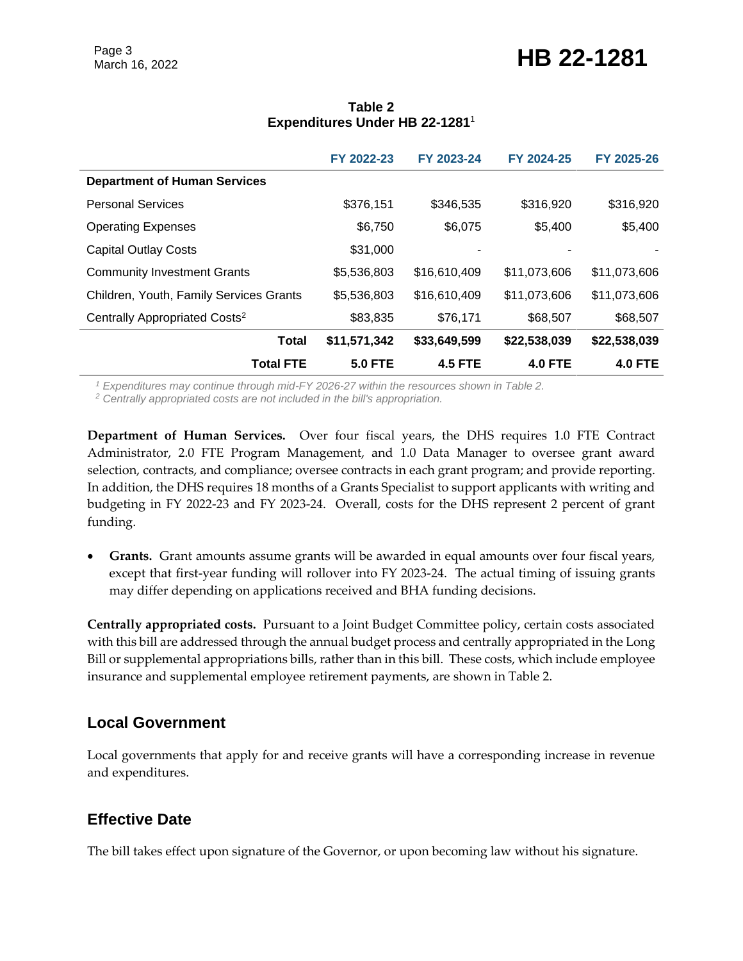# Page 3<br>March 16, 2022 **HB 22-1281**

|                                           | FY 2022-23     | FY 2023-24     | FY 2024-25     | FY 2025-26     |
|-------------------------------------------|----------------|----------------|----------------|----------------|
| <b>Department of Human Services</b>       |                |                |                |                |
| <b>Personal Services</b>                  | \$376,151      | \$346,535      | \$316,920      | \$316,920      |
| <b>Operating Expenses</b>                 | \$6,750        | \$6,075        | \$5,400        | \$5,400        |
| <b>Capital Outlay Costs</b>               | \$31,000       |                |                |                |
| <b>Community Investment Grants</b>        | \$5,536,803    | \$16,610,409   | \$11,073,606   | \$11,073,606   |
| Children, Youth, Family Services Grants   | \$5,536,803    | \$16,610,409   | \$11,073,606   | \$11,073,606   |
| Centrally Appropriated Costs <sup>2</sup> | \$83,835       | \$76,171       | \$68,507       | \$68,507       |
| <b>Total</b>                              | \$11,571,342   | \$33,649,599   | \$22,538,039   | \$22,538,039   |
| <b>Total FTE</b>                          | <b>5.0 FTE</b> | <b>4.5 FTE</b> | <b>4.0 FTE</b> | <b>4.0 FTE</b> |

#### **Table 2 Expenditures Under HB 22-1281**<sup>1</sup>

*<sup>1</sup> Expenditures may continue through mid-FY 2026-27 within the resources shown in Table 2.* 

*<sup>2</sup> Centrally appropriated costs are not included in the bill's appropriation.*

**Department of Human Services.** Over four fiscal years, the DHS requires 1.0 FTE Contract Administrator, 2.0 FTE Program Management, and 1.0 Data Manager to oversee grant award selection, contracts, and compliance; oversee contracts in each grant program; and provide reporting. In addition, the DHS requires 18 months of a Grants Specialist to support applicants with writing and budgeting in FY 2022-23 and FY 2023-24. Overall, costs for the DHS represent 2 percent of grant funding.

 **Grants.** Grant amounts assume grants will be awarded in equal amounts over four fiscal years, except that first-year funding will rollover into FY 2023-24. The actual timing of issuing grants may differ depending on applications received and BHA funding decisions.

**Centrally appropriated costs.** Pursuant to a Joint Budget Committee policy, certain costs associated with this bill are addressed through the annual budget process and centrally appropriated in the Long Bill or supplemental appropriations bills, rather than in this bill. These costs, which include employee insurance and supplemental employee retirement payments, are shown in Table 2.

### **Local Government**

Local governments that apply for and receive grants will have a corresponding increase in revenue and expenditures.

# **Effective Date**

The bill takes effect upon signature of the Governor, or upon becoming law without his signature.